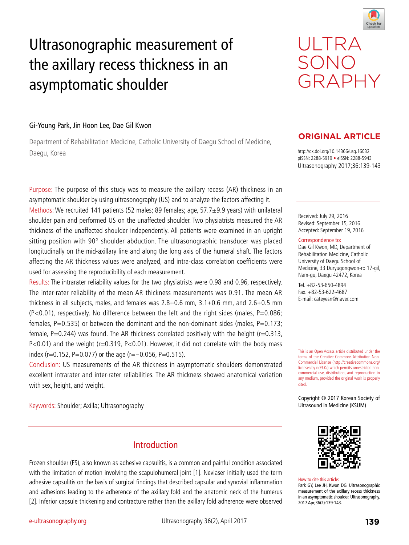

# Ultrasonographic measurement of the axillary recess thickness in an asymptomatic shoulder

# ULTRA SONO GRAPHY

### Gi-Young Park, Jin Hoon Lee, Dae Gil Kwon

Department of Rehabilitation Medicine, Catholic University of Daegu School of Medicine, Daegu, Korea http://dx.doi.org/10.14366/usg.16032

Purpose: The purpose of this study was to measure the axillary recess (AR) thickness in an asymptomatic shoulder by using ultrasonography (US) and to analyze the factors affecting it. Methods: We recruited 141 patients (52 males; 89 females; age, 57.7±9.9 years) with unilateral shoulder pain and performed US on the unaffected shoulder. Two physiatrists measured the AR thickness of the unaffected shoulder independently. All patients were examined in an upright sitting position with 90° shoulder abduction. The ultrasonographic transducer was placed longitudinally on the mid-axillary line and along the long axis of the humeral shaft. The factors affecting the AR thickness values were analyzed, and intra-class correlation coefficients were used for assessing the reproducibility of each measurement.

Results: The intrarater reliability values for the two physiatrists were 0.98 and 0.96, respectively. The inter-rater reliability of the mean AR thickness measurements was 0.91. The mean AR thickness in all subjects, males, and females was  $2.8\pm0.6$  mm,  $3.1\pm0.6$  mm, and  $2.6\pm0.5$  mm (P<0.01), respectively. No difference between the left and the right sides (males, P=0.086; females,  $P=0.535$ ) or between the dominant and the non-dominant sides (males,  $P=0.173$ ; female,  $P=0.244$ ) was found. The AR thickness correlated positively with the height (r=0.313, P<0.01) and the weight (r=0.319, P<0.01). However, it did not correlate with the body mass index (r=0.152, P=0.077) or the age (r= $-0.056$ , P=0.515).

Conclusion: US measurements of the AR thickness in asymptomatic shoulders demonstrated excellent intrarater and inter-rater reliabilities. The AR thickness showed anatomical variation with sex, height, and weight.

Keywords: Shoulder; Axilla; Ultrasonography

## **Introduction**

Frozen shoulder (FS), also known as adhesive capsulitis, is a common and painful condition associated with the limitation of motion involving the scapulohumeral joint [1]. Neviaser initially used the term adhesive capsulitis on the basis of surgical findings that described capsular and synovial inflammation and adhesions leading to the adherence of the axillary fold and the anatomic neck of the humerus [2]. Inferior capsule thickening and contracture rather than the axillary fold adherence were observed

## **ORIGINAL ARTICLE**

pISSN: 2288-5919 • eISSN: 2288-5943 Ultrasonography 2017;36:139-143

Received: July 29, 2016 Revised: September 15, 2016 Accepted: September 19, 2016

#### Correspondence to:

Dae Gil Kwon, MD, Department of Rehabilitation Medicine, Catholic University of Daegu School of Medicine, 33 Duryugongwon-ro 17-gil, Nam-gu, Daegu 42472, Korea

Tel. +82-53-650-4894 Fax. +82-53-622-4687 E-mail: cateyesn@naver.com

This is an Open Access article distributed under the terms of the Creative Commons Attribution Non-Commercial License (http://creativecommons.org/ licenses/by-nc/3.0/) which permits unrestricted noncommercial use, distribution, and reproduction in any medium, provided the original work is properly cited.

Copyright © 2017 Korean Society of Ultrasound in Medicine (KSUM)



How to cite this article: Park GY, Lee JH, Kwon DG. Ultrasonographic measurement of the axillary recess thickness in an asymptomatic shoulder. Ultrasonography. 2017 Apr;36(2):139-143.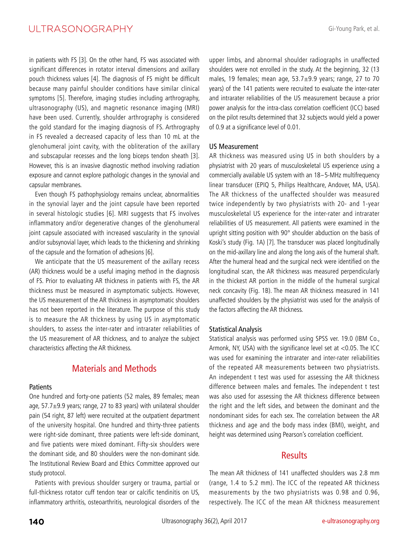## ULTRASONOGRAPHY

in patients with FS [3]. On the other hand, FS was associated with significant differences in rotator interval dimensions and axillary pouch thickness values [4]. The diagnosis of FS might be difficult because many painful shoulder conditions have similar clinical symptoms [5]. Therefore, imaging studies including arthrography, ultrasonography (US), and magnetic resonance imaging (MRI) have been used. Currently, shoulder arthrography is considered the gold standard for the imaging diagnosis of FS. Arthrography in FS revealed a decreased capacity of less than 10 mL at the glenohumeral joint cavity, with the obliteration of the axillary and subscapular recesses and the long biceps tendon sheath [3]. However, this is an invasive diagnostic method involving radiation exposure and cannot explore pathologic changes in the synovial and capsular membranes.

Even though FS pathophysiology remains unclear, abnormalities in the synovial layer and the joint capsule have been reported in several histologic studies [6]. MRI suggests that FS involves inflammatory and/or degenerative changes of the glenohumeral joint capsule associated with increased vascularity in the synovial and/or subsynovial layer, which leads to the thickening and shrinking of the capsule and the formation of adhesions [6].

We anticipate that the US measurement of the axillary recess (AR) thickness would be a useful imaging method in the diagnosis of FS. Prior to evaluating AR thickness in patients with FS, the AR thickness must be measured in asymptomatic subjects. However, the US measurement of the AR thickness in asymptomatic shoulders has not been reported in the literature. The purpose of this study is to measure the AR thickness by using US in asymptomatic shoulders, to assess the inter-rater and intrarater reliabilities of the US measurement of AR thickness, and to analyze the subject characteristics affecting the AR thickness.

## Materials and Methods

#### Patients

One hundred and forty-one patients (52 males, 89 females; mean age, 57.7±9.9 years; range, 27 to 83 years) with unilateral shoulder pain (54 right, 87 left) were recruited at the outpatient department of the university hospital. One hundred and thirty-three patients were right-side dominant, three patients were left-side dominant, and five patients were mixed dominant. Fifty-six shoulders were the dominant side, and 80 shoulders were the non-dominant side. The Institutional Review Board and Ethics Committee approved our study protocol.

Patients with previous shoulder surgery or trauma, partial or full-thickness rotator cuff tendon tear or calcific tendinitis on US, inflammatory arthritis, osteoarthritis, neurological disorders of the upper limbs, and abnormal shoulder radiographs in unaffected shoulders were not enrolled in the study. At the beginning, 32 (13 males, 19 females; mean age, 53.7±9.9 years; range, 27 to 70 years) of the 141 patients were recruited to evaluate the inter-rater and intrarater reliabilities of the US measurement because a prior power analysis for the intra-class correlation coefficient (ICC) based on the pilot results determined that 32 subjects would yield a power of 0.9 at a significance level of 0.01.

#### US Measurement

AR thickness was measured using US in both shoulders by a physiatrist with 20 years of musculoskeletal US experience using a commercially available US system with an 18-5-MHz multifrequency linear transducer (EPIQ 5, Philips Healthcare, Andover, MA, USA). The AR thickness of the unaffected shoulder was measured twice independently by two physiatrists with 20- and 1-year musculoskeletal US experience for the inter-rater and intrarater reliabilities of US measurement. All patients were examined in the upright sitting position with 90° shoulder abduction on the basis of Koski's study (Fig. 1A) [7]. The transducer was placed longitudinally on the mid-axillary line and along the long axis of the humeral shaft. After the humeral head and the surgical neck were identified on the longitudinal scan, the AR thickness was measured perpendicularly in the thickest AR portion in the middle of the humeral surgical neck concavity (Fig. 1B). The mean AR thickness measured in 141 unaffected shoulders by the physiatrist was used for the analysis of the factors affecting the AR thickness.

#### Statistical Analysis

Statistical analysis was performed using SPSS ver. 19.0 (IBM Co., Armonk, NY, USA) with the significance level set at <0.05. The ICC was used for examining the intrarater and inter-rater reliabilities of the repeated AR measurements between two physiatrists. An independent t test was used for assessing the AR thickness difference between males and females. The independent t test was also used for assessing the AR thickness difference between the right and the left sides, and between the dominant and the nondominant sides for each sex. The correlation between the AR thickness and age and the body mass index (BMI), weight, and height was determined using Pearson's correlation coefficient.

## **Results**

The mean AR thickness of 141 unaffected shoulders was 2.8 mm (range, 1.4 to 5.2 mm). The ICC of the repeated AR thickness measurements by the two physiatrists was 0.98 and 0.96, respectively. The ICC of the mean AR thickness measurement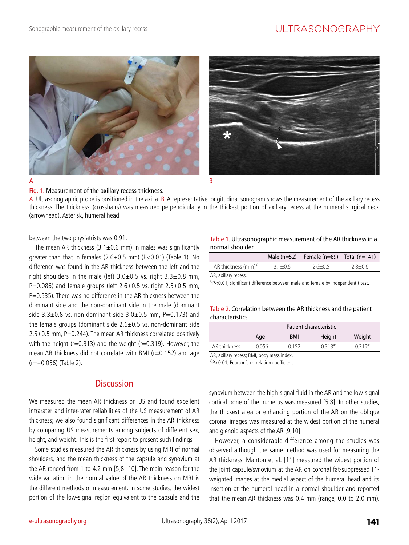# ULTRASONOGRAPHY







Fig. 1. Measurement of the axillary recess thickness. A. Ultrasonographic probe is positioned in the axilla. B. A representative longitudinal sonogram shows the measurement of the axillary recess thickness. The thickness (crosshairs) was measured perpendicularly in the thickest portion of axillary recess at the humeral surgical neck (arrowhead). Asterisk, humeral head.

between the two physiatrists was 0.91.

The mean AR thickness  $(3.1\pm0.6$  mm) in males was significantly greater than that in females  $(2.6\pm0.5$  mm)  $(P<0.01)$  (Table 1). No difference was found in the AR thickness between the left and the right shoulders in the male (left 3.0±0.5 vs. right 3.3±0.8 mm, P=0.086) and female groups (left  $2.6\pm0.5$  vs. right  $2.5\pm0.5$  mm, P=0.535). There was no difference in the AR thickness between the dominant side and the non-dominant side in the male (dominant side  $3.3\pm0.8$  vs. non-dominant side  $3.0\pm0.5$  mm, P=0.173) and the female groups (dominant side  $2.6 \pm 0.5$  vs. non-dominant side  $2.5\pm0.5$  mm, P=0.244). The mean AR thickness correlated positively with the height ( $r=0.313$ ) and the weight ( $r=0.319$ ). However, the mean AR thickness did not correlate with BMI (r=0.152) and age (r=-0.056) (Table 2).

## **Discussion**

We measured the mean AR thickness on US and found excellent intrarater and inter-rater reliabilities of the US measurement of AR thickness; we also found significant differences in the AR thickness by comparing US measurements among subjects of different sex, height, and weight. This is the first report to present such findings.

Some studies measured the AR thickness by using MRI of normal shoulders, and the mean thickness of the capsule and synovium at the AR ranged from 1 to 4.2 mm [5,8-10]. The main reason for the wide variation in the normal value of the AR thickness on MRI is the different methods of measurement. In some studies, the widest portion of the low-signal region equivalent to the capsule and the

#### Table 1. Ultrasonographic measurement of the AR thickness in a normal shoulder

|                                 |             | Male $(n=52)$ Female $(n=89)$ Total $(n=141)$ |             |
|---------------------------------|-------------|-----------------------------------------------|-------------|
| AR thickness (mm) <sup>a)</sup> | $3.1 + 0.6$ | $26+05$                                       | $2.8 + 0.6$ |

AR, axillary recess.

 $a^3$ P<0.01, significant difference between male and female by independent t test.

#### Table 2. Correlation between the AR thickness and the patient characteristics

|              | Patient characteristic |       |        |                  |  |
|--------------|------------------------|-------|--------|------------------|--|
|              | Age                    | BMI   | Height | Weight           |  |
| AR thickness | $-0.056$               | 0.152 | 0.313a | $(1, 3, 1, 9^a)$ |  |

AR, axillary recess; BMI, body mass index.

a)P<0.01, Pearson's correlation coefficient.

synovium between the high-signal fluid in the AR and the low-signal cortical bone of the humerus was measured [5,8]. In other studies, the thickest area or enhancing portion of the AR on the oblique coronal images was measured at the widest portion of the humeral and glenoid aspects of the AR [9,10].

However, a considerable difference among the studies was observed although the same method was used for measuring the AR thickness. Manton et al. [11] measured the widest portion of the joint capsule/synovium at the AR on coronal fat-suppressed T1 weighted images at the medial aspect of the humeral head and its insertion at the humeral head in a normal shoulder and reported that the mean AR thickness was 0.4 mm (range, 0.0 to 2.0 mm).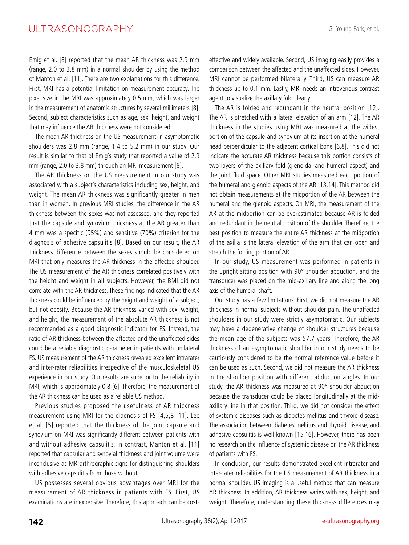## ULTRASONOGRAPHY

Emig et al. [8] reported that the mean AR thickness was 2.9 mm (range, 2.0 to 3.8 mm) in a normal shoulder by using the method of Manton et al. [11]. There are two explanations for this difference. First, MRI has a potential limitation on measurement accuracy. The pixel size in the MRI was approximately 0.5 mm, which was larger in the measurement of anatomic structures by several millimeters [8]. Second, subject characteristics such as age, sex, height, and weight that may influence the AR thickness were not considered.

The mean AR thickness on the US measurement in asymptomatic shoulders was 2.8 mm (range, 1.4 to 5.2 mm) in our study. Our result is similar to that of Emig's study that reported a value of 2.9 mm (range, 2.0 to 3.8 mm) through an MRI measurement [8].

The AR thickness on the US measurement in our study was associated with a subject's characteristics including sex, height, and weight. The mean AR thickness was significantly greater in men than in women. In previous MRI studies, the difference in the AR thickness between the sexes was not assessed, and they reported that the capsule and synovium thickness at the AR greater than 4 mm was a specific (95%) and sensitive (70%) criterion for the diagnosis of adhesive capsulitis [8]. Based on our result, the AR thickness difference between the sexes should be considered on MRI that only measures the AR thickness in the affected shoulder. The US measurement of the AR thickness correlated positively with the height and weight in all subjects. However, the BMI did not correlate with the AR thickness. These findings indicated that the AR thickness could be influenced by the height and weight of a subject, but not obesity. Because the AR thickness varied with sex, weight, and height, the measurement of the absolute AR thickness is not recommended as a good diagnostic indicator for FS. Instead, the ratio of AR thickness between the affected and the unaffected sides could be a reliable diagnostic parameter in patients with unilateral FS. US measurement of the AR thickness revealed excellent intrarater and inter-rater reliabilities irrespective of the musculoskeletal US experience in our study. Our results are superior to the reliability in MRI, which is approximately 0.8 [6]. Therefore, the measurement of the AR thickness can be used as a reliable US method.

Previous studies proposed the usefulness of AR thickness measurement using MRI for the diagnosis of FS [4,5,8-11]. Lee et al. [5] reported that the thickness of the joint capsule and synovium on MRI was significantly different between patients with and without adhesive capsulitis. In contrast, Manton et al. [11] reported that capsular and synovial thickness and joint volume were inconclusive as MR arthrographic signs for distinguishing shoulders with adhesive capsulitis from those without.

US possesses several obvious advantages over MRI for the measurement of AR thickness in patients with FS. First, US examinations are inexpensive. Therefore, this approach can be costeffective and widely available. Second, US imaging easily provides a comparison between the affected and the unaffected sides. However, MRI cannot be performed bilaterally. Third, US can measure AR thickness up to 0.1 mm. Lastly, MRI needs an intravenous contrast agent to visualize the axillary fold clearly.

The AR is folded and redundant in the neutral position [12]. The AR is stretched with a lateral elevation of an arm [12]. The AR thickness in the studies using MRI was measured at the widest portion of the capsule and synovium at its insertion at the humeral head perpendicular to the adjacent cortical bone [6,8]. This did not indicate the accurate AR thickness because this portion consists of two layers of the axillary fold (glenoidal and humeral aspect) and the joint fluid space. Other MRI studies measured each portion of the humeral and glenoid aspects of the AR [13,14]. This method did not obtain measurements at the midportion of the AR between the humeral and the glenoid aspects. On MRI, the measurement of the AR at the midportion can be overestimated because AR is folded and redundant in the neutral position of the shoulder. Therefore, the best position to measure the entire AR thickness at the midportion of the axilla is the lateral elevation of the arm that can open and stretch the folding portion of AR.

In our study, US measurement was performed in patients in the upright sitting position with 90° shoulder abduction, and the transducer was placed on the mid-axillary line and along the long axis of the humeral shaft.

Our study has a few limitations. First, we did not measure the AR thickness in normal subjects without shoulder pain. The unaffected shoulders in our study were strictly asymptomatic. Our subjects may have a degenerative change of shoulder structures because the mean age of the subjects was 57.7 years. Therefore, the AR thickness of an asymptomatic shoulder in our study needs to be cautiously considered to be the normal reference value before it can be used as such. Second, we did not measure the AR thickness in the shoulder position with different abduction angles. In our study, the AR thickness was measured at 90° shoulder abduction because the transducer could be placed longitudinally at the midaxillary line in that position. Third, we did not consider the effect of systemic diseases such as diabetes mellitus and thyroid disease. The association between diabetes mellitus and thyroid disease, and adhesive capsulitis is well known [15,16]. However, there has been no research on the influence of systemic disease on the AR thickness of patients with FS.

In conclusion, our results demonstrated excellent intrarater and inter-rater reliabilities for the US measurement of AR thickness in a normal shoulder. US imaging is a useful method that can measure AR thickness. In addition, AR thickness varies with sex, height, and weight. Therefore, understanding these thickness differences may